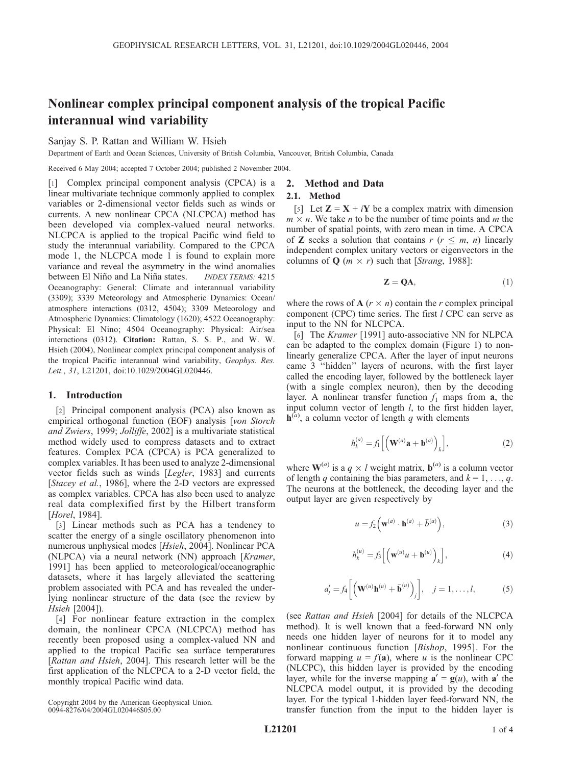# Nonlinear complex principal component analysis of the tropical Pacific interannual wind variability

# Sanjay S. P. Rattan and William W. Hsieh

Department of Earth and Ocean Sciences, University of British Columbia, Vancouver, British Columbia, Canada

Received 6 May 2004; accepted 7 October 2004; published 2 November 2004.

[1] Complex principal component analysis (CPCA) is a linear multivariate technique commonly applied to complex variables or 2-dimensional vector fields such as winds or currents. A new nonlinear CPCA (NLCPCA) method has been developed via complex-valued neural networks. NLCPCA is applied to the tropical Pacific wind field to study the interannual variability. Compared to the CPCA mode 1, the NLCPCA mode 1 is found to explain more variance and reveal the asymmetry in the wind anomalies between El Niño and La Niña states. *INDEX TERMS*: 4215 Oceanography: General: Climate and interannual variability (3309); 3339 Meteorology and Atmospheric Dynamics: Ocean/ atmosphere interactions (0312, 4504); 3309 Meteorology and Atmospheric Dynamics: Climatology (1620); 4522 Oceanography: Physical: El Nino; 4504 Oceanography: Physical: Air/sea interactions (0312). Citation: Rattan, S. S. P., and W. W. Hsieh (2004), Nonlinear complex principal component analysis of the tropical Pacific interannual wind variability, Geophys. Res. Lett., 31, L21201, doi:10.1029/2004GL020446.

## 1. Introduction

[2] Principal component analysis (PCA) also known as empirical orthogonal function (EOF) analysis [von Storch and Zwiers, 1999; Jolliffe, 2002] is a multivariate statistical method widely used to compress datasets and to extract features. Complex PCA (CPCA) is PCA generalized to complex variables. It has been used to analyze 2-dimensional vector fields such as winds [Legler, 1983] and currents [Stacey et al., 1986], where the 2-D vectors are expressed as complex variables. CPCA has also been used to analyze real data complexified first by the Hilbert transform [Horel, 1984].

[3] Linear methods such as PCA has a tendency to scatter the energy of a single oscillatory phenomenon into numerous unphysical modes [Hsieh, 2004]. Nonlinear PCA (NLPCA) via a neural network (NN) approach [Kramer, 1991] has been applied to meteorological/oceanographic datasets, where it has largely alleviated the scattering problem associated with PCA and has revealed the underlying nonlinear structure of the data (see the review by Hsieh [2004]).

[4] For nonlinear feature extraction in the complex domain, the nonlinear CPCA (NLCPCA) method has recently been proposed using a complex-valued NN and applied to the tropical Pacific sea surface temperatures [Rattan and Hsieh, 2004]. This research letter will be the first application of the NLCPCA to a 2-D vector field, the monthly tropical Pacific wind data.

Copyright 2004 by the American Geophysical Union. 0094-8276/04/2004GL020446\$05.00

## 2. Method and Data

## 2.1. Method

[5] Let  $\mathbf{Z} = \mathbf{X} + i\mathbf{Y}$  be a complex matrix with dimension  $m \times n$ . We take *n* to be the number of time points and *m* the number of spatial points, with zero mean in time. A CPCA of **Z** seeks a solution that contains  $r$  ( $r \leq m$ ,  $n$ ) linearly independent complex unitary vectors or eigenvectors in the columns of Q ( $m \times r$ ) such that [Strang, 1988]:

$$
Z = QA, \t(1)
$$

where the rows of  $A$  ( $r \times n$ ) contain the r complex principal component (CPC) time series. The first  $l$  CPC can serve as input to the NN for NLCPCA.

[6] The Kramer [1991] auto-associative NN for NLPCA can be adapted to the complex domain (Figure 1) to nonlinearly generalize CPCA. After the layer of input neurons came 3 ''hidden'' layers of neurons, with the first layer called the encoding layer, followed by the bottleneck layer (with a single complex neuron), then by the decoding layer. A nonlinear transfer function  $f_1$  maps from **a**, the input column vector of length *l*, to the first hidden layer,  $\mathbf{h}^{(a)}$ , a column vector of length q with elements

$$
h_k^{(a)} = f_1\left[\left(\mathbf{W}^{(a)}\mathbf{a} + \mathbf{b}^{(a)}\right)_k\right],\tag{2}
$$

where  $\mathbf{W}^{(a)}$  is a  $q \times l$  weight matrix,  $\mathbf{b}^{(a)}$  is a column vector of length q containing the bias parameters, and  $k = 1, \ldots, q$ . The neurons at the bottleneck, the decoding layer and the output layer are given respectively by

$$
u = f_2\left(\mathbf{w}^{(a)} \cdot \mathbf{h}^{(a)} + \bar{b}^{(a)}\right),\tag{3}
$$

$$
h_k^{(u)} = f_3 \left[ \left( \mathbf{w}^{(u)} u + \mathbf{b}^{(u)} \right)_k \right],\tag{4}
$$

$$
a'_j = f_4 \left[ \left( \mathbf{W}^{(u)} \mathbf{h}^{(u)} + \bar{\mathbf{b}}^{(u)} \right)_j \right], \quad j = 1, \dots, l,
$$
 (5)

(see Rattan and Hsieh [2004] for details of the NLCPCA method). It is well known that a feed-forward NN only needs one hidden layer of neurons for it to model any nonlinear continuous function [Bishop, 1995]. For the forward mapping  $u = f(\mathbf{a})$ , where u is the nonlinear CPC (NLCPC), this hidden layer is provided by the encoding layer, while for the inverse mapping  $\mathbf{a}' = \mathbf{g}(u)$ , with  $\mathbf{a}'$  the NLCPCA model output, it is provided by the decoding layer. For the typical 1-hidden layer feed-forward NN, the transfer function from the input to the hidden layer is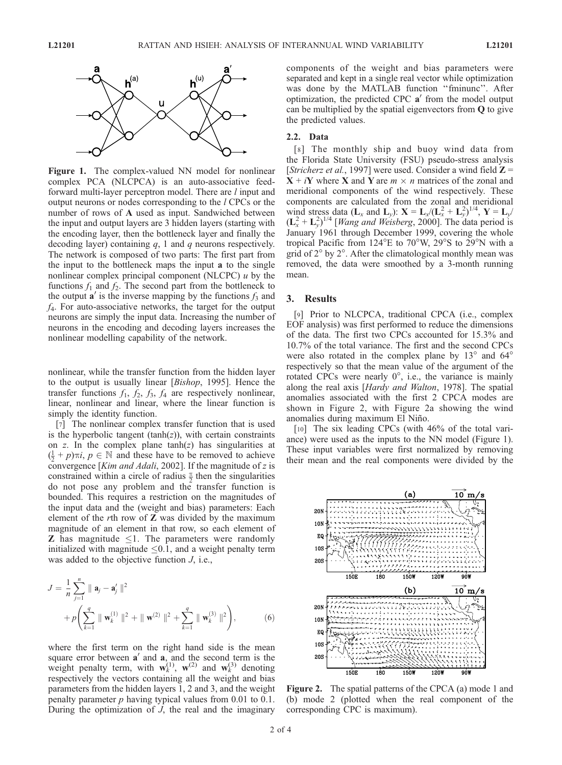

Figure 1. The complex-valued NN model for nonlinear complex PCA (NLCPCA) is an auto-associative feedforward multi-layer perceptron model. There are *l* input and output neurons or nodes corresponding to the l CPCs or the number of rows of A used as input. Sandwiched between the input and output layers are 3 hidden layers (starting with the encoding layer, then the bottleneck layer and finally the decoding layer) containing  $q$ , 1 and  $q$  neurons respectively. The network is composed of two parts: The first part from the input to the bottleneck maps the input a to the single nonlinear complex principal component (NLCPC)  $u$  by the functions  $f_1$  and  $f_2$ . The second part from the bottleneck to the output  $\mathbf{a}'$  is the inverse mapping by the functions  $f_3$  and  $f<sub>4</sub>$ . For auto-associative networks, the target for the output neurons are simply the input data. Increasing the number of neurons in the encoding and decoding layers increases the nonlinear modelling capability of the network.

nonlinear, while the transfer function from the hidden layer to the output is usually linear [Bishop, 1995]. Hence the transfer functions  $f_1$ ,  $f_2$ ,  $f_3$ ,  $f_4$  are respectively nonlinear, linear, nonlinear and linear, where the linear function is simply the identity function.

[7] The nonlinear complex transfer function that is used is the hyperbolic tangent  $(tanh(z))$ , with certain constraints on  $z$ . In the complex plane tanh( $z$ ) has singularities at  $(\frac{1}{2} + p)\pi i$ ,  $p \in \mathbb{N}$  and these have to be removed to achieve<br>convergence [*Kim and Adali* 2002] If the magnitude of z is convergence [Kim and Adali, 2002]. If the magnitude of z is constrained within a circle of radius  $\frac{\pi}{2}$  then the singularities do not pose any problem and the transfer function is bounded. This requires a restriction on the magnitudes of the input data and the (weight and bias) parameters: Each element of the  $r$ th row of  $Z$  was divided by the maximum magnitude of an element in that row, so each element of **Z** has magnitude  $\leq$ 1. The parameters were randomly initialized with magnitude  $\leq 0.1$ , and a weight penalty term was added to the objective function *J*, i.e.,

$$
J = \frac{1}{n} \sum_{j=1}^{n} \| \mathbf{a}_{j} - \mathbf{a}_{j}' \|^{2}
$$
  
+  $p \left( \sum_{k=1}^{q} \| \mathbf{w}_{k}^{(1)} \|^{2} + \| \mathbf{w}^{(2)} \|^{2} + \sum_{k=1}^{q} \| \mathbf{w}_{k}^{(3)} \|^{2} \right),$  (6)

where the first term on the right hand side is the mean square error between  $a'$  and  $a$ , and the second term is the weight penalty term, with  $w_k^{(1)}$ ,  $w^{(2)}$  and  $w_k^{(3)}$  denoting respectively the vectors containing all the weight and bias parameters from the hidden layers 1, 2 and 3, and the weight penalty parameter  $p$  having typical values from 0.01 to 0.1. During the optimization of  $J$ , the real and the imaginary components of the weight and bias parameters were separated and kept in a single real vector while optimization was done by the MATLAB function ''fminunc''. After optimization, the predicted CPC  $a'$  from the model output can be multiplied by the spatial eigenvectors from Q to give the predicted values.

#### 2.2. Data

[8] The monthly ship and buoy wind data from the Florida State University (FSU) pseudo-stress analysis [Stricherz et al., 1997] were used. Consider a wind field  $\mathbb{Z} =$  $X + iY$  where X and Y are  $m \times n$  matrices of the zonal and meridional components of the wind respectively. These components are calculated from the zonal and meridional wind stress data ( $\mathbf{L}_x$  and  $\mathbf{L}_y$ ):  $\mathbf{X} = \mathbf{L}_x / (\mathbf{L}_x^2 + \mathbf{L}_y^2)^{1/4}$ ,  $\mathbf{Y} = \mathbf{L}_y /$  $(L_x^2 + L_y^2)^{1/4}$  [*Wang and Weisberg*, 2000]. The data period is January 1961 through December 1999, covering the whole tropical Pacific from  $124^{\circ}E$  to  $70^{\circ}W$ ,  $29^{\circ}S$  to  $29^{\circ}N$  with a grid of  $2^{\circ}$  by  $2^{\circ}$ . After the climatological monthly mean was removed, the data were smoothed by a 3-month running mean.

## 3. Results

[9] Prior to NLCPCA, traditional CPCA (i.e., complex EOF analysis) was first performed to reduce the dimensions of the data. The first two CPCs accounted for 15.3% and 10.7% of the total variance. The first and the second CPCs were also rotated in the complex plane by  $13^{\circ}$  and  $64^{\circ}$ respectively so that the mean value of the argument of the rotated CPCs were nearly  $0^{\circ}$ , i.e., the variance is mainly along the real axis [Hardy and Walton, 1978]. The spatial anomalies associated with the first 2 CPCA modes are shown in Figure 2, with Figure 2a showing the wind anomalies during maximum El Niño.

[10] The six leading CPCs (with 46% of the total variance) were used as the inputs to the NN model (Figure 1). These input variables were first normalized by removing their mean and the real components were divided by the



Figure 2. The spatial patterns of the CPCA (a) mode 1 and (b) mode 2 (plotted when the real component of the corresponding CPC is maximum).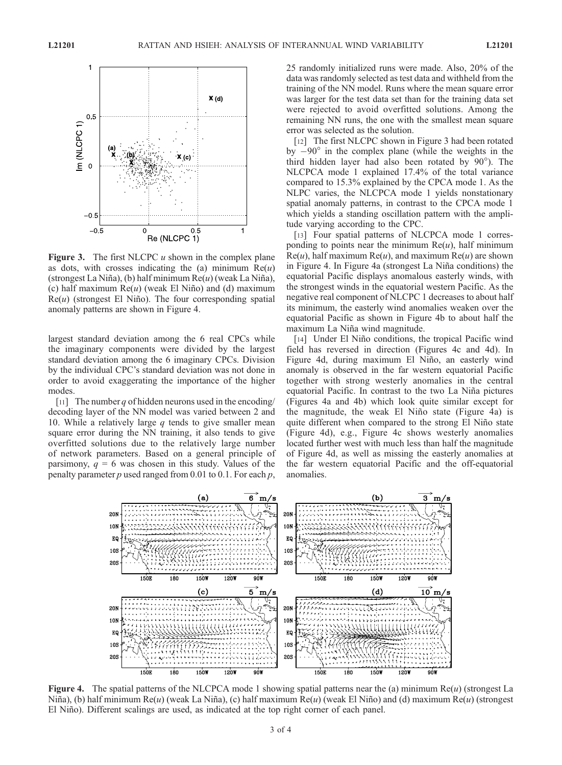

**Figure 3.** The first NLCPC  $u$  shown in the complex plane as dots, with crosses indicating the (a) minimum  $Re(u)$ (strongest La Niña), (b) half minimum  $Re(u)$  (weak La Niña), (c) half maximum  $Re(u)$  (weak El Niño) and (d) maximum  $Re(u)$  (strongest El Niño). The four corresponding spatial anomaly patterns are shown in Figure 4.

largest standard deviation among the 6 real CPCs while the imaginary components were divided by the largest standard deviation among the 6 imaginary CPCs. Division by the individual CPC's standard deviation was not done in order to avoid exaggerating the importance of the higher modes.

[11] The number q of hidden neurons used in the encoding/ decoding layer of the NN model was varied between 2 and 10. While a relatively large  $q$  tends to give smaller mean square error during the NN training, it also tends to give overfitted solutions due to the relatively large number of network parameters. Based on a general principle of parsimony,  $q = 6$  was chosen in this study. Values of the penalty parameter  $p$  used ranged from 0.01 to 0.1. For each  $p$ ,

25 randomly initialized runs were made. Also, 20% of the data was randomly selected as test data and withheld from the training of the NN model. Runs where the mean square error was larger for the test data set than for the training data set were rejected to avoid overfitted solutions. Among the remaining NN runs, the one with the smallest mean square error was selected as the solution.

[12] The first NLCPC shown in Figure 3 had been rotated by  $-90^\circ$  in the complex plane (while the weights in the third hidden layer had also been rotated by 90°). The NLCPCA mode 1 explained 17.4% of the total variance compared to 15.3% explained by the CPCA mode 1. As the NLPC varies, the NLCPCA mode 1 yields nonstationary spatial anomaly patterns, in contrast to the CPCA mode 1 which yields a standing oscillation pattern with the amplitude varying according to the CPC.

[13] Four spatial patterns of NLCPCA mode 1 corresponding to points near the minimum  $Re(u)$ , half minimum  $Re(u)$ , half maximum  $Re(u)$ , and maximum  $Re(u)$  are shown in Figure 4. In Figure 4a (strongest La Niña conditions) the equatorial Pacific displays anomalous easterly winds, with the strongest winds in the equatorial western Pacific. As the negative real component of NLCPC 1 decreases to about half its minimum, the easterly wind anomalies weaken over the equatorial Pacific as shown in Figure 4b to about half the maximum La Niña wind magnitude.

[14] Under El Niño conditions, the tropical Pacific wind field has reversed in direction (Figures 4c and 4d). In Figure 4d, during maximum El Niño, an easterly wind anomaly is observed in the far western equatorial Pacific together with strong westerly anomalies in the central equatorial Pacific. In contrast to the two La Niña pictures (Figures 4a and 4b) which look quite similar except for the magnitude, the weak El Niño state (Figure 4a) is quite different when compared to the strong El Niño state (Figure 4d), e.g., Figure 4c shows westerly anomalies located further west with much less than half the magnitude of Figure 4d, as well as missing the easterly anomalies at the far western equatorial Pacific and the off-equatorial anomalies.



**Figure 4.** The spatial patterns of the NLCPCA mode 1 showing spatial patterns near the (a) minimum  $Re(u)$  (strongest La Niña), (b) half minimum Re(u) (weak La Niña), (c) half maximum Re(u) (weak El Niño) and (d) maximum Re(u) (strongest El Niño). Different scalings are used, as indicated at the top right corner of each panel.